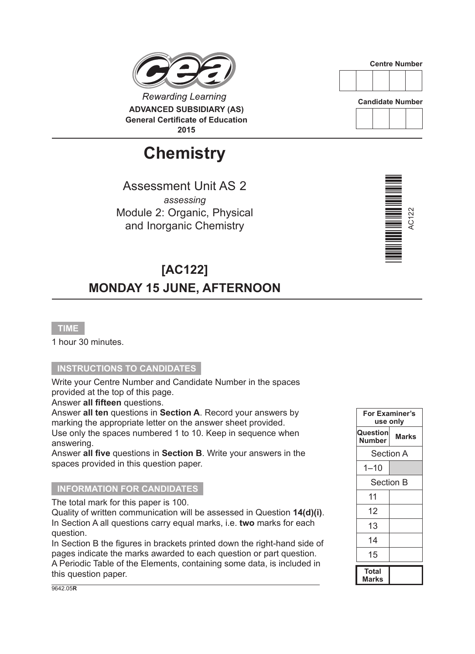

# **Chemistry**

Assessment Unit AS 2 *assessing* Module 2: Organic, Physical and Inorganic Chemistry

# **[AC122] MONDAY 15 JUNE, AFTERNOON**

#### **TIME**

1 hour 30 minutes.

# **INSTRUCTIONS TO CANDIDATES**

Write your Centre Number and Candidate Number in the spaces provided at the top of this page.

Answer **all fifteen** questions.

Answer **all ten** questions in **Section A**. Record your answers by marking the appropriate letter on the answer sheet provided. Use only the spaces numbered 1 to 10. Keep in sequence when answering.

Answer **all five** questions in **Section B**. Write your answers in the spaces provided in this question paper.

#### **INFORMATION FOR CANDIDATES**

The total mark for this paper is 100.

Quality of written communication will be assessed in Question **14(d)(i)**. In Section A all questions carry equal marks, i.e. **two** marks for each question.

In Section B the figures in brackets printed down the right-hand side of pages indicate the marks awarded to each question or part question. A Periodic Table of the Elements, containing some data, is included in this question paper.



**Candidate Number**





| For Examiner's<br>use only |                  |  |  |  |
|----------------------------|------------------|--|--|--|
| Question<br><b>Number</b>  | Marks            |  |  |  |
|                            | <b>Section A</b> |  |  |  |
| $1 - 10$                   |                  |  |  |  |
| <b>Section B</b>           |                  |  |  |  |
| 11                         |                  |  |  |  |
| 12                         |                  |  |  |  |
| 13                         |                  |  |  |  |
| 14                         |                  |  |  |  |
| 15                         |                  |  |  |  |
| Total<br>Marks             |                  |  |  |  |

9642.05**R**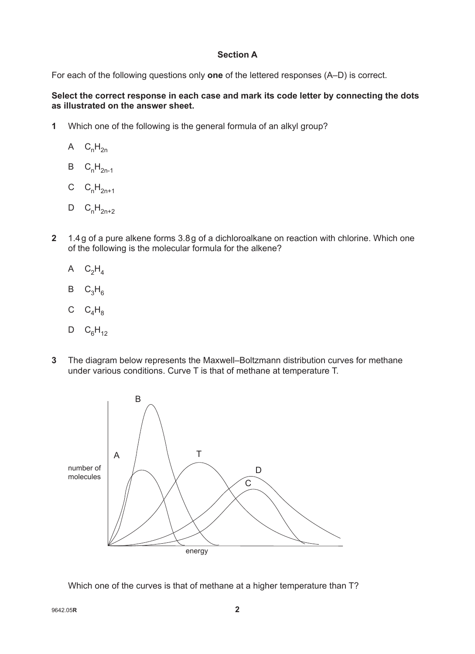# **Section A**

For each of the following questions only **one** of the lettered responses (A–D) is correct.

# **Select the correct response in each case and mark its code letter by connecting the dots as illustrated on the answer sheet.**

- **1** Which one of the following is the general formula of an alkyl group?
	- A  $C_nH_{2n}$
	- $B$   $C_nH_{2n-1}$
	- C  $C_nH_{2n+1}$
	- $D$   $C_nH_{2n+2}$
- **2** 1.4g of a pure alkene forms 3.8g of a dichloroalkane on reaction with chlorine. Which one of the following is the molecular formula for the alkene?
	- A  $C_2H_4$
	- $B$   $C_3H_6$
	- C  $C_4H_8$
	- $D$   $C_6H_{12}$
- **3** The diagram below represents the Maxwell–Boltzmann distribution curves for methane under various conditions. Curve T is that of methane at temperature T.



Which one of the curves is that of methane at a higher temperature than T?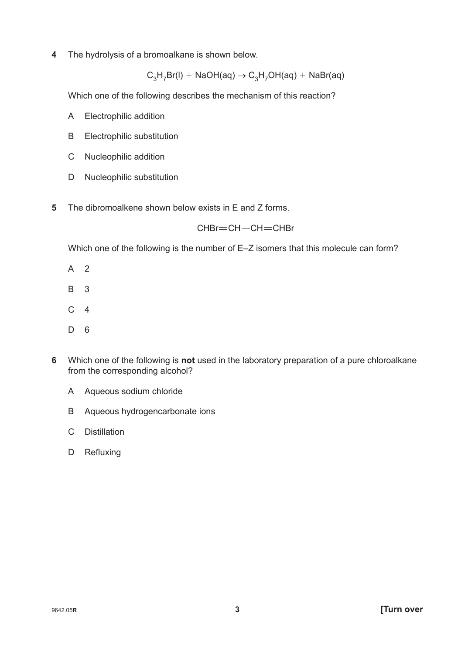**4** The hydrolysis of a bromoalkane is shown below.

 $C_3H_7Br(I) + NaOH(aq) \rightarrow C_3H_7OH(aq) + NaBr(aq)$ 

Which one of the following describes the mechanism of this reaction?

- A Electrophilic addition
- B Electrophilic substitution
- C Nucleophilic addition
- D Nucleophilic substitution
- **5** The dibromoalkene shown below exists in E and Z forms.

# $CHBr = CH - CH = CHBr$

Which one of the following is the number of E–Z isomers that this molecule can form?

- A 2
- B 3
- $C<sub>4</sub>$
- D 6
- **6** Which one of the following is **not** used in the laboratory preparation of a pure chloroalkane from the corresponding alcohol?
	- A Aqueous sodium chloride
	- B Aqueous hydrogencarbonate ions
	- C Distillation
	- D Refluxing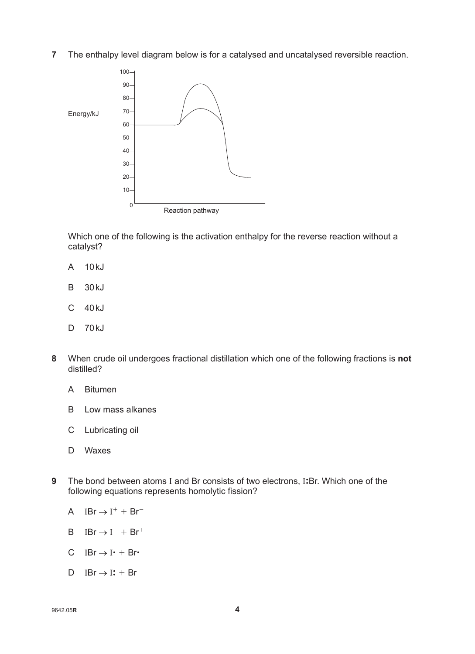**7** The enthalpy level diagram below is for a catalysed and uncatalysed reversible reaction.



Which one of the following is the activation enthalpy for the reverse reaction without a catalyst?

- A 10kJ
- B 30kJ
- C 40kJ
- D 70kJ
- **8** When crude oil undergoes fractional distillation which one of the following fractions is **not** distilled?
	- A Bitumen
	- B Low mass alkanes
	- C Lubricating oil
	- D Waxes
- **9** The bond between atoms I and Br consists of two electrons, I: Br. Which one of the following equations represents homolytic fission?
	- A  $IBr \rightarrow I^+ + Br^-$
	- $B$   $IBr \rightarrow I^- + Br^+$
	- C IBr $\rightarrow$  I  $\cdot$  + Br $\cdot$
	- D IBr  $\rightarrow$  I: + Br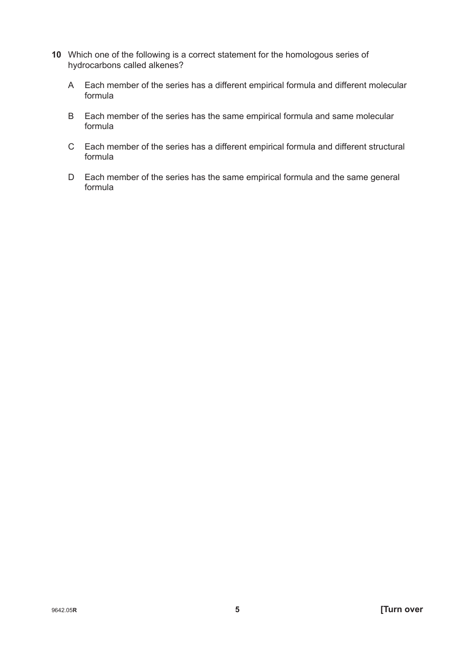- **10** Which one of the following is a correct statement for the homologous series of hydrocarbons called alkenes?
	- A Each member of the series has a different empirical formula and different molecular formula
	- B Each member of the series has the same empirical formula and same molecular formula
	- C Each member of the series has a different empirical formula and different structural formula
	- D Each member of the series has the same empirical formula and the same general formula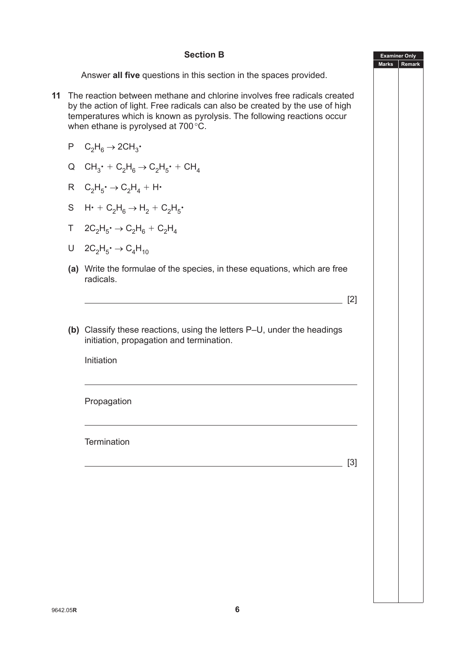# **Section B**

Answer **all five** questions in this section in the spaces provided.

- **11** The reaction between methane and chlorine involves free radicals created by the action of light. Free radicals can also be created by the use of high temperatures which is known as pyrolysis. The following reactions occur when ethane is pyrolysed at 700°C.
	- $P$   $C_2H_6 \rightarrow 2CH_3$
	- Q  $CH_3$ <sup>+</sup> +  $C_2H_6 \rightarrow C_2H_5$ <sup>+</sup> + CH<sub>4</sub>
	- $R$   $C_2H_5$   $\rightarrow$   $C_2H_4 + H$
	- $S$  H $\cdot$  + C<sub>2</sub>H<sub>6</sub>  $\rightarrow$  H<sub>2</sub> + C<sub>2</sub>H<sub>5</sub> $\cdot$
	- $T \quad 2C_2H_5 \rightarrow C_2H_6 + C_2H_4$
	- $U$  2C<sub>2</sub>H<sub>5</sub>  $\rightarrow$  C<sub>4</sub>H<sub>10</sub>
	- **(a)** Write the formulae of the species, in these equations, which are free radicals.
	- **(b)** Classify these reactions, using the letters P–U, under the headings initiation, propagation and termination.

Initiation

Propagation

**Termination** 

[3]

 $\sqrt{2}$ 

**Examiner Only Marks Remark**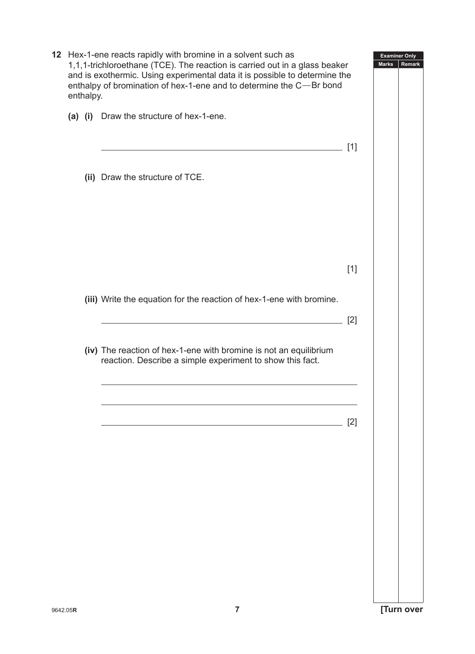|          | enthalpy. | 12 Hex-1-ene reacts rapidly with bromine in a solvent such as<br>1,1,1-trichloroethane (TCE). The reaction is carried out in a glass beaker<br>and is exothermic. Using experimental data it is possible to determine the<br>enthalpy of bromination of hex-1-ene and to determine the C-Br bond |       | <b>Examiner Only</b><br><b>Marks</b> | Remark |
|----------|-----------|--------------------------------------------------------------------------------------------------------------------------------------------------------------------------------------------------------------------------------------------------------------------------------------------------|-------|--------------------------------------|--------|
|          |           | (a) (i) Draw the structure of hex-1-ene.                                                                                                                                                                                                                                                         |       |                                      |        |
|          |           |                                                                                                                                                                                                                                                                                                  | [1]   |                                      |        |
|          |           | (ii) Draw the structure of TCE.                                                                                                                                                                                                                                                                  |       |                                      |        |
|          |           |                                                                                                                                                                                                                                                                                                  |       |                                      |        |
|          |           |                                                                                                                                                                                                                                                                                                  | $[1]$ |                                      |        |
|          |           |                                                                                                                                                                                                                                                                                                  |       |                                      |        |
|          |           | (iii) Write the equation for the reaction of hex-1-ene with bromine.                                                                                                                                                                                                                             |       |                                      |        |
|          |           |                                                                                                                                                                                                                                                                                                  | $[2]$ |                                      |        |
|          |           | (iv) The reaction of hex-1-ene with bromine is not an equilibrium<br>reaction. Describe a simple experiment to show this fact.                                                                                                                                                                   |       |                                      |        |
|          |           |                                                                                                                                                                                                                                                                                                  |       |                                      |        |
|          |           |                                                                                                                                                                                                                                                                                                  | $[2]$ |                                      |        |
|          |           |                                                                                                                                                                                                                                                                                                  |       |                                      |        |
|          |           |                                                                                                                                                                                                                                                                                                  |       |                                      |        |
|          |           |                                                                                                                                                                                                                                                                                                  |       |                                      |        |
|          |           |                                                                                                                                                                                                                                                                                                  |       |                                      |        |
|          |           |                                                                                                                                                                                                                                                                                                  |       |                                      |        |
|          |           |                                                                                                                                                                                                                                                                                                  |       |                                      |        |
|          |           |                                                                                                                                                                                                                                                                                                  |       |                                      |        |
| 9642.05R |           | $\overline{7}$                                                                                                                                                                                                                                                                                   |       | [Turn over                           |        |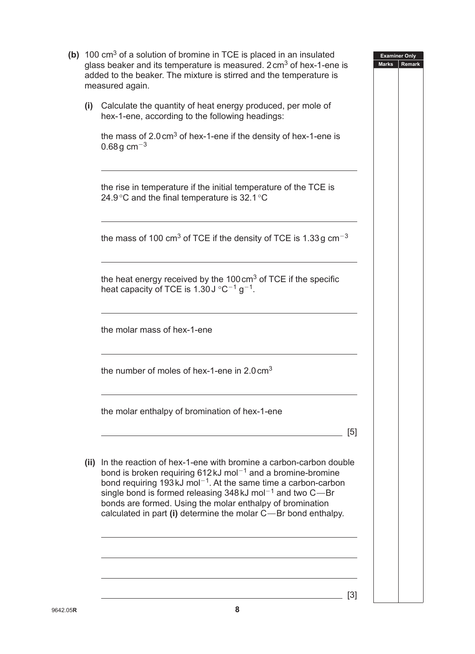|      | (b) 100 $\text{cm}^3$ of a solution of bromine in TCE is placed in an insulated<br>glass beaker and its temperature is measured. 2 cm <sup>3</sup> of hex-1-ene is<br>added to the beaker. The mixture is stirred and the temperature is<br>measured again.                                                                                                                                                                                                 | <b>Examiner Only</b><br><b>Marks</b><br>Remark |
|------|-------------------------------------------------------------------------------------------------------------------------------------------------------------------------------------------------------------------------------------------------------------------------------------------------------------------------------------------------------------------------------------------------------------------------------------------------------------|------------------------------------------------|
| (i)  | Calculate the quantity of heat energy produced, per mole of<br>hex-1-ene, according to the following headings:                                                                                                                                                                                                                                                                                                                                              |                                                |
|      | the mass of $2.0 \text{ cm}^3$ of hex-1-ene if the density of hex-1-ene is<br>$0.68g \text{ cm}^{-3}$                                                                                                                                                                                                                                                                                                                                                       |                                                |
|      | the rise in temperature if the initial temperature of the TCE is<br>24.9 °C and the final temperature is $32.1$ °C                                                                                                                                                                                                                                                                                                                                          |                                                |
|      | the mass of 100 cm <sup>3</sup> of TCE if the density of TCE is 1.33 g cm <sup>-3</sup>                                                                                                                                                                                                                                                                                                                                                                     |                                                |
|      | the heat energy received by the $100 \text{ cm}^3$ of TCE if the specific<br>heat capacity of TCE is 1.30 J $\degree$ C <sup>-1</sup> g <sup>-1</sup> .                                                                                                                                                                                                                                                                                                     |                                                |
|      | the molar mass of hex-1-ene                                                                                                                                                                                                                                                                                                                                                                                                                                 |                                                |
|      | the number of moles of hex-1-ene in $2.0 \text{ cm}^3$                                                                                                                                                                                                                                                                                                                                                                                                      |                                                |
|      | the molar enthalpy of bromination of hex-1-ene<br>[5]                                                                                                                                                                                                                                                                                                                                                                                                       |                                                |
| (ii) | In the reaction of hex-1-ene with bromine a carbon-carbon double<br>bond is broken requiring $612 \text{ kJ}$ mol <sup>-1</sup> and a bromine-bromine<br>bond requiring 193 kJ mol <sup><math>-1</math></sup> . At the same time a carbon-carbon<br>single bond is formed releasing 348 kJ mol <sup>-1</sup> and two C-Br<br>bonds are formed. Using the molar enthalpy of bromination<br>calculated in part (i) determine the molar $C$ —Br bond enthalpy. |                                                |
|      | $\lceil 3 \rceil$                                                                                                                                                                                                                                                                                                                                                                                                                                           |                                                |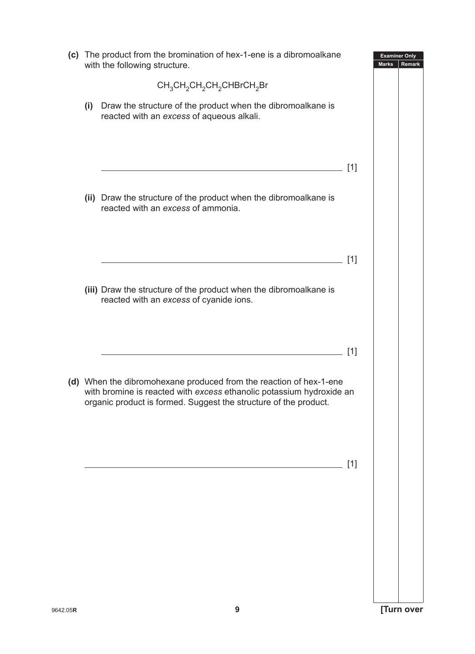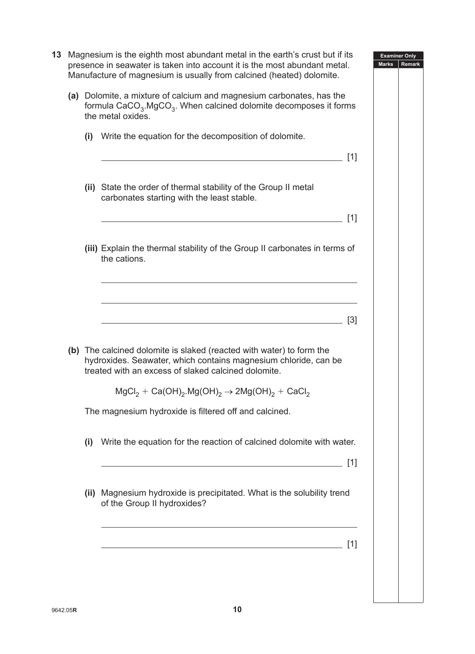| 13 |     | Magnesium is the eighth most abundant metal in the earth's crust but if its<br><b>Examiner Only</b><br>presence in seawater is taken into account it is the most abundant metal.<br><b>Marks</b><br><b>Remark</b><br>Manufacture of magnesium is usually from calcined (heated) dolomite. |
|----|-----|-------------------------------------------------------------------------------------------------------------------------------------------------------------------------------------------------------------------------------------------------------------------------------------------|
|    |     | (a) Dolomite, a mixture of calcium and magnesium carbonates, has the<br>formula CaCO <sub>3</sub> .MgCO <sub>3</sub> . When calcined dolomite decomposes it forms<br>the metal oxides.                                                                                                    |
|    |     | (i) Write the equation for the decomposition of dolomite.<br>[1]                                                                                                                                                                                                                          |
|    |     | (ii) State the order of thermal stability of the Group II metal<br>carbonates starting with the least stable.                                                                                                                                                                             |
|    |     | [1]                                                                                                                                                                                                                                                                                       |
|    |     | (iii) Explain the thermal stability of the Group II carbonates in terms of<br>the cations.                                                                                                                                                                                                |
|    |     |                                                                                                                                                                                                                                                                                           |
|    |     | $\lceil 3 \rceil$                                                                                                                                                                                                                                                                         |
|    |     | (b) The calcined dolomite is slaked (reacted with water) to form the<br>hydroxides. Seawater, which contains magnesium chloride, can be<br>treated with an excess of slaked calcined dolomite.                                                                                            |
|    |     | $MgCl2 + Ca(OH)2.Mg(OH)2 \rightarrow 2Mg(OH)2 + CaCl2$                                                                                                                                                                                                                                    |
|    |     | The magnesium hydroxide is filtered off and calcined.                                                                                                                                                                                                                                     |
|    | (i) | Write the equation for the reaction of calcined dolomite with water.<br>[1]                                                                                                                                                                                                               |
|    |     | (ii) Magnesium hydroxide is precipitated. What is the solubility trend<br>of the Group II hydroxides?                                                                                                                                                                                     |
|    |     | [1]<br><u> 1980 - Johann Barbara, martxa alemaniar a</u>                                                                                                                                                                                                                                  |
|    |     |                                                                                                                                                                                                                                                                                           |
|    |     |                                                                                                                                                                                                                                                                                           |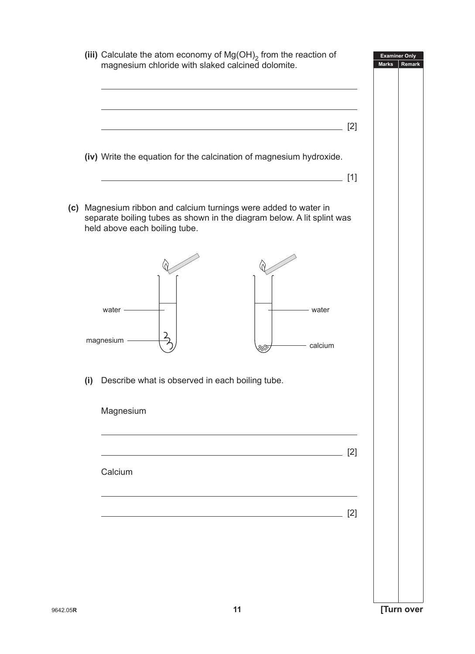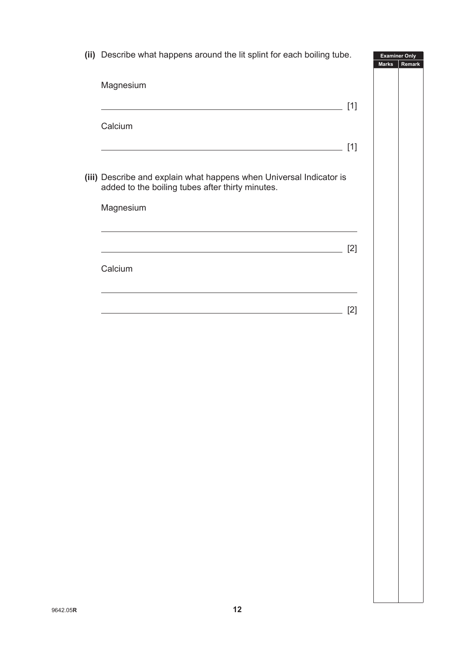**(ii)** Describe what happens around the lit splint for each boiling tube.

**Examiner Only**

|                                                                                                                         |       | <b>Marks</b> |
|-------------------------------------------------------------------------------------------------------------------------|-------|--------------|
| Magnesium                                                                                                               |       |              |
| <u> 1989 - Johann Barn, amerikansk politiker (d. 1989)</u>                                                              | $[1]$ |              |
| Calcium                                                                                                                 |       |              |
| <u> 1989 - Johann Barn, fransk politik amerikansk politik (d. 1989)</u>                                                 | $[1]$ |              |
| (iii) Describe and explain what happens when Universal Indicator is<br>added to the boiling tubes after thirty minutes. |       |              |
| Magnesium                                                                                                               |       |              |
| <u> 1989 - Johann Stein, marwolaethau a bhann an t-Amhair ann an t-Amhair an t-Amhair an t-Amhair an t-Amhair an</u>    |       |              |
| <u> 1989 - Johann Barn, fransk politik (f. 1989)</u>                                                                    | $[2]$ |              |
| Calcium                                                                                                                 |       |              |
| <u> 1989 - Johann Stein, mars an deutscher Stein und der Stein und der Stein und der Stein und der Stein und der</u>    |       |              |
| <u> 1989 - Johann Stein, mars an de Brasilia (b. 1989)</u>                                                              | $[2]$ |              |
|                                                                                                                         |       |              |
|                                                                                                                         |       |              |
|                                                                                                                         |       |              |
|                                                                                                                         |       |              |
|                                                                                                                         |       |              |
|                                                                                                                         |       |              |
|                                                                                                                         |       |              |
|                                                                                                                         |       |              |
|                                                                                                                         |       |              |
|                                                                                                                         |       |              |
|                                                                                                                         |       |              |
|                                                                                                                         |       |              |
|                                                                                                                         |       |              |
|                                                                                                                         |       |              |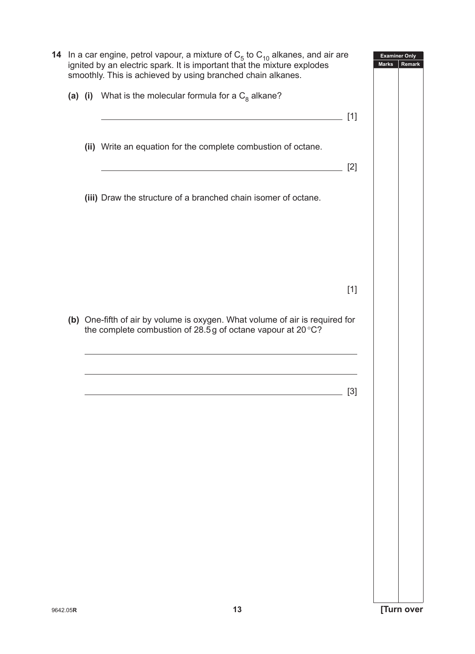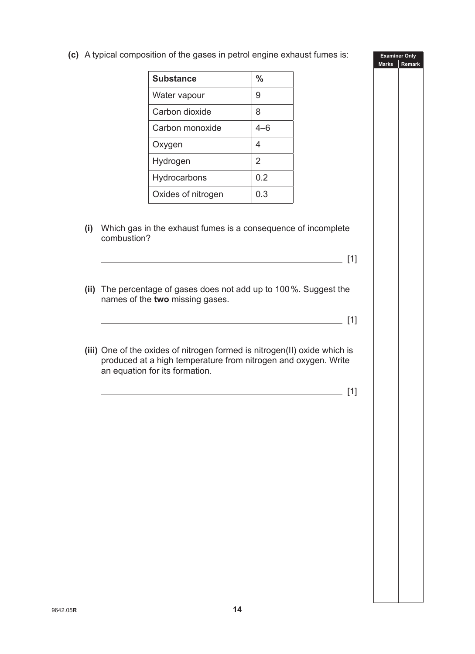**(c)** A typical composition of the gases in petrol engine exhaust fumes is:

| <b>Substance</b>   | %   |
|--------------------|-----|
| Water vapour       | 9   |
| Carbon dioxide     | 8   |
| Carbon monoxide    | 4–6 |
| Oxygen             | 4   |
| Hydrogen           | 2   |
| Hydrocarbons       | 0.2 |
| Oxides of nitrogen | 0.3 |

**(i)** Which gas in the exhaust fumes is a consequence of incomplete combustion?

 $\frac{1}{2}$  [1]

**Examiner Only Marks Remark**

- **(ii)** The percentage of gases does not add up to 100%. Suggest the names of the **two** missing gases.
	- $\frac{1}{2}$  [1]
- **(iii)** One of the oxides of nitrogen formed is nitrogen(II) oxide which is produced at a high temperature from nitrogen and oxygen. Write an equation for its formation.

[1]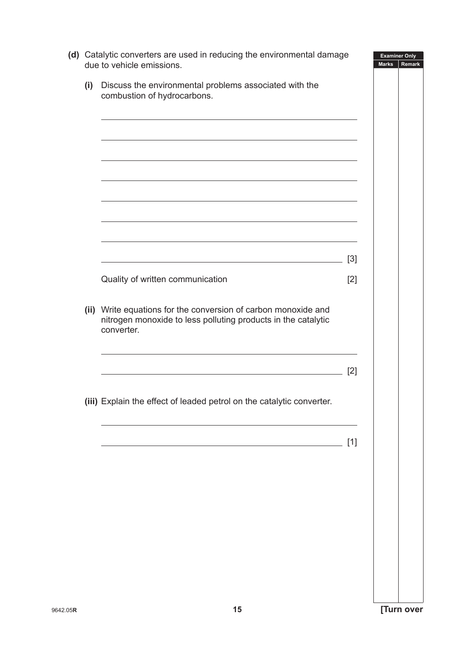| Discuss the environmental problems associated with the<br>(i)<br>combustion of hydrocarbons.<br>the control of the control of the control of the control of the control of the control of the control of the control of the control of the control of the control of the control of the control of the control of the control<br>the contract of the contract of the contract of the contract of the contract of the contract of the contract of |       |
|--------------------------------------------------------------------------------------------------------------------------------------------------------------------------------------------------------------------------------------------------------------------------------------------------------------------------------------------------------------------------------------------------------------------------------------------------|-------|
|                                                                                                                                                                                                                                                                                                                                                                                                                                                  |       |
|                                                                                                                                                                                                                                                                                                                                                                                                                                                  |       |
|                                                                                                                                                                                                                                                                                                                                                                                                                                                  |       |
|                                                                                                                                                                                                                                                                                                                                                                                                                                                  |       |
|                                                                                                                                                                                                                                                                                                                                                                                                                                                  |       |
|                                                                                                                                                                                                                                                                                                                                                                                                                                                  |       |
|                                                                                                                                                                                                                                                                                                                                                                                                                                                  |       |
|                                                                                                                                                                                                                                                                                                                                                                                                                                                  |       |
|                                                                                                                                                                                                                                                                                                                                                                                                                                                  | $[3]$ |
| Quality of written communication                                                                                                                                                                                                                                                                                                                                                                                                                 | $[2]$ |
| (ii) Write equations for the conversion of carbon monoxide and<br>nitrogen monoxide to less polluting products in the catalytic<br>converter.                                                                                                                                                                                                                                                                                                    |       |
|                                                                                                                                                                                                                                                                                                                                                                                                                                                  | [2]   |
|                                                                                                                                                                                                                                                                                                                                                                                                                                                  |       |
| (iii) Explain the effect of leaded petrol on the catalytic converter.                                                                                                                                                                                                                                                                                                                                                                            |       |
|                                                                                                                                                                                                                                                                                                                                                                                                                                                  |       |
|                                                                                                                                                                                                                                                                                                                                                                                                                                                  | $[1]$ |
|                                                                                                                                                                                                                                                                                                                                                                                                                                                  |       |
|                                                                                                                                                                                                                                                                                                                                                                                                                                                  |       |
|                                                                                                                                                                                                                                                                                                                                                                                                                                                  |       |
|                                                                                                                                                                                                                                                                                                                                                                                                                                                  |       |
|                                                                                                                                                                                                                                                                                                                                                                                                                                                  |       |
|                                                                                                                                                                                                                                                                                                                                                                                                                                                  |       |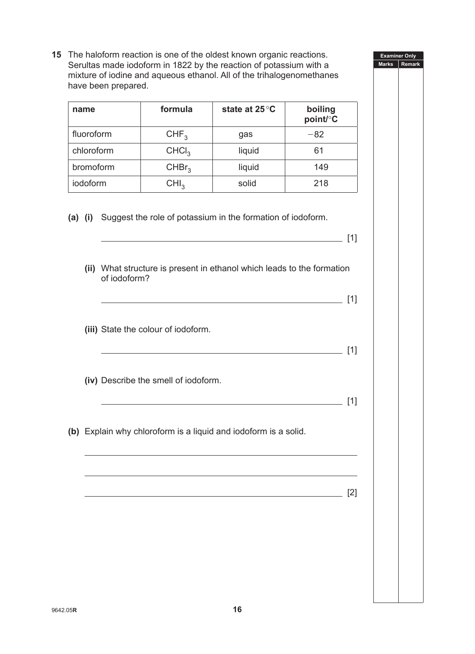**15** The haloform reaction is one of the oldest known organic reactions. Serultas made iodoform in 1822 by the reaction of potassium with a mixture of iodine and aqueous ethanol. All of the trihalogenomethanes have been prepared.

**Examiner Only Marks Remark**

 $\frac{1}{2}$  [1]

| name       | formula           | state at 25 °C | boiling<br>point/°C |
|------------|-------------------|----------------|---------------------|
| fluoroform | CHF <sub>3</sub>  | gas            | $-82$               |
| chloroform | CHCI <sub>3</sub> | liquid         | 61                  |
| bromoform  | CHBr <sub>3</sub> | liquid         | 149                 |
| iodoform   | CHI <sub>3</sub>  | solid          | 218                 |

**(a) (i)** Suggest the role of potassium in the formation of iodoform.

| (ii) What structure is present in ethanol which leads to the formation<br>of iodoform?<br><u> 1989 - Johann Stoff, deutscher Stoff, der Stoff, der Stoff, der Stoff, der Stoff, der Stoff, der Stoff, der S</u> | [1]   |
|-----------------------------------------------------------------------------------------------------------------------------------------------------------------------------------------------------------------|-------|
| (iii) State the colour of iodoform.<br><u> 1989 - Johann Stein, marwolaethau a bhann an t-Amhainn an t-Amhainn an t-Amhainn an t-Amhainn an t-Amhainn a</u>                                                     | [1]   |
| (iv) Describe the smell of iodoform.                                                                                                                                                                            | [1]   |
| (b) Explain why chloroform is a liquid and iodoform is a solid.                                                                                                                                                 |       |
|                                                                                                                                                                                                                 | $[2]$ |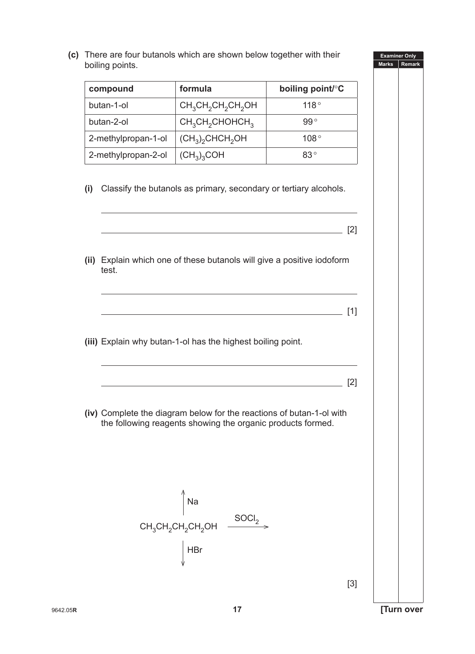**(c)** There are four buta boiling points.

| compound            | formula                                                                                                                             | boiling point/°C |  |
|---------------------|-------------------------------------------------------------------------------------------------------------------------------------|------------------|--|
| butan-1-ol          | $CH_3CH_2CH_2CH_2OH$                                                                                                                | 118°             |  |
| butan-2-ol          | $CH3CH2CHOHCH3$                                                                                                                     | $99^{\circ}$     |  |
| 2-methylpropan-1-ol | $(CH_3)_2$ CHCH <sub>2</sub> OH                                                                                                     | 108°             |  |
| 2-methylpropan-2-ol | (CH <sub>3</sub> ) <sub>3</sub> COH                                                                                                 | 83°              |  |
| (ii)                | Explain which one of these butanols will give a positive iodoform                                                                   | $[2]$            |  |
| test.               |                                                                                                                                     | $[1]$            |  |
|                     |                                                                                                                                     |                  |  |
|                     | (iii) Explain why butan-1-ol has the highest boiling point.                                                                         |                  |  |
|                     |                                                                                                                                     | $[2]$            |  |
|                     | (iv) Complete the diagram below for the reactions of butan-1-ol with<br>the following reagents showing the organic products formed. |                  |  |
|                     | Na                                                                                                                                  |                  |  |
|                     | SOCI <sub>2</sub><br>$CH_3CH_2CH_2CH_2OH$                                                                                           |                  |  |
|                     | <b>HBr</b>                                                                                                                          |                  |  |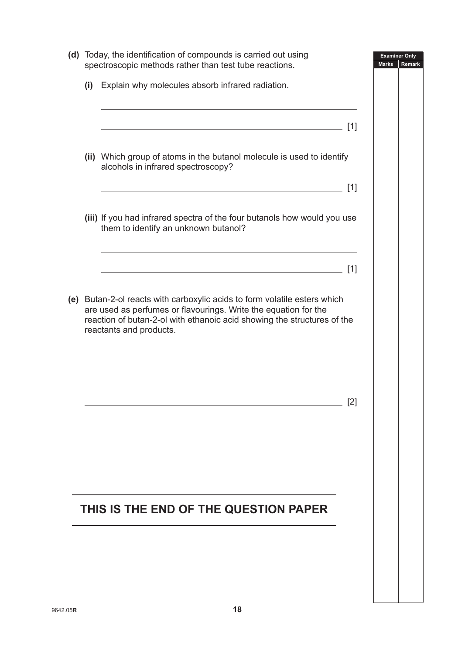| (d) Today, the identification of compounds is carried out using<br>spectroscopic methods rather than test tube reactions.                                                                                                                          | <b>Examiner Only</b><br><b>Marks</b><br>Remark |
|----------------------------------------------------------------------------------------------------------------------------------------------------------------------------------------------------------------------------------------------------|------------------------------------------------|
| (i) Explain why molecules absorb infrared radiation.                                                                                                                                                                                               |                                                |
| $[1]$                                                                                                                                                                                                                                              |                                                |
| (ii) Which group of atoms in the butanol molecule is used to identify<br>alcohols in infrared spectroscopy?                                                                                                                                        |                                                |
| $[1]$                                                                                                                                                                                                                                              |                                                |
| (iii) If you had infrared spectra of the four butanols how would you use<br>them to identify an unknown butanol?                                                                                                                                   |                                                |
| [1]                                                                                                                                                                                                                                                |                                                |
|                                                                                                                                                                                                                                                    |                                                |
| (e) Butan-2-ol reacts with carboxylic acids to form volatile esters which<br>are used as perfumes or flavourings. Write the equation for the<br>reaction of butan-2-ol with ethanoic acid showing the structures of the<br>reactants and products. |                                                |
|                                                                                                                                                                                                                                                    |                                                |
|                                                                                                                                                                                                                                                    |                                                |
| $[2]$                                                                                                                                                                                                                                              |                                                |
|                                                                                                                                                                                                                                                    |                                                |
|                                                                                                                                                                                                                                                    |                                                |
|                                                                                                                                                                                                                                                    |                                                |
|                                                                                                                                                                                                                                                    |                                                |
| THIS IS THE END OF THE QUESTION PAPER                                                                                                                                                                                                              |                                                |
|                                                                                                                                                                                                                                                    |                                                |
|                                                                                                                                                                                                                                                    |                                                |
|                                                                                                                                                                                                                                                    |                                                |
|                                                                                                                                                                                                                                                    |                                                |